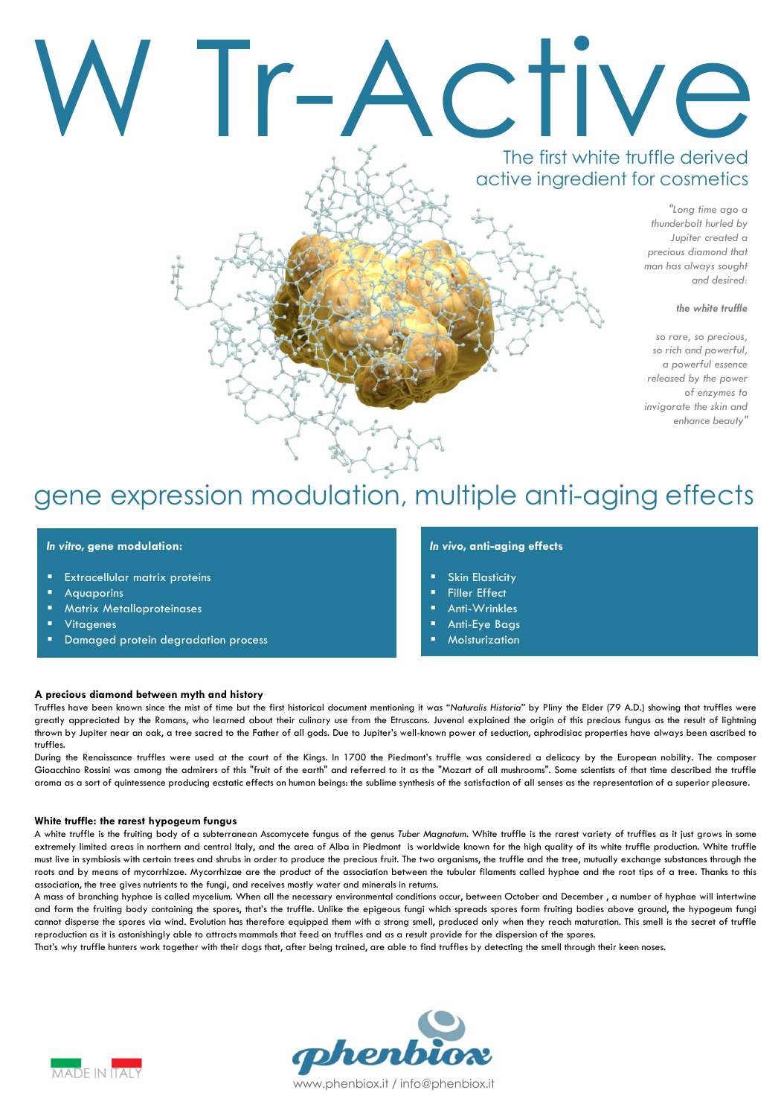# W Tr-Active

# The first white truffle derived active ingredient for cosmetics

"Long time ago a thunderbolt hurled by Jupiter created a precious diamond that man has always sought and desired:

# the white truffle

so rare, so precious, so rich and powerful, a powerful essence released by the power of enzymes to invigorate the skin and enhance beauty"

# gene expression modulation, multiple anti-aging effects

# In vitro, gene modulation:

- Extracellular matrix proteins
- Aquaporins
- Matrix Metalloproteinases
- Vitagenes
- Damaged protein degradation process

# In vivo, anti-aging effects

- Skin Elasticity
- Filler Effect
- Anti-Wrinkles
- Anti-Eye Bags
- Moisturization

#### A precious diamond between myth and history

Truffles have been known since the mist of time but the first historical document mentioning it was "Naturalis Historia" by Pliny the Elder (79 A.D.) showing that truffles were greatly appreciated by the Romans, who learned about their culinary use from the Etruscans. Juvenal explained the origin of this precious fungus as the result of lightning thrown by Jupiter near an oak, a tree sacred to the Father of all gods. Due to Jupiter's well-known power of seduction, aphrodisiac properties have always been ascribed to truffles.

During the Renaissance truffles were used at the court of the Kings. In 1700 the Piedmont's truffle was considered a delicacy by the European nobility. The composer Gioacchino Rossini was among the admirers of this "fruit of the earth" and referred to it as the "Mozart of all mushrooms". Some scientists of that time described the truffle aroma as a sort of quintessence producing ecstatic effects on human beings: the sublime synthesis of the satisfaction of all senses as the representation of a superior pleasure.

#### White truffle: the rarest hypogeum fungus

A white truffle is the fruiting body of a subterranean Ascomycete fungus of the genus Tuber Magnatum. White truffle is the rarest variety of truffles as it just grows in some extremely limited areas in northern and central Italy, and the area of Alba in Piedmont is worldwide known for the high quality of its white truffle production. White truffle must live in symbiosis with certain trees and shrubs in order to produce the precious fruit. The two organisms, the truffle and the tree, mutually exchange substances through the roots and by means of mycorrhizae. Mycorrhizae are the product of the association between the tubular filaments called hyphae and the root tips of a tree. Thanks to this association, the tree gives nutrients to the fungi, and receives mostly water and minerals in returns.

A mass of branching hyphae is called mycelium. When all the necessary environmental conditions occur, between October and December , a number of hyphae will intertwine and form the fruiting body containing the spores, that's the truffle. Unlike the epigeous fungi which spreads spores form fruiting bodies above ground, the hypogeum fungi cannot disperse the spores via wind. Evolution has therefore equipped them with a strong smell, produced only when they reach maturation. This smell is the secret of truffle reproduction as it is astonishingly able to attracts mammals that feed on truffles and as a result provide for the dispersion of the spores.

That's why truffle hunters work together with their dogs that, after being trained, are able to find truffles by detecting the smell through their keen noses.



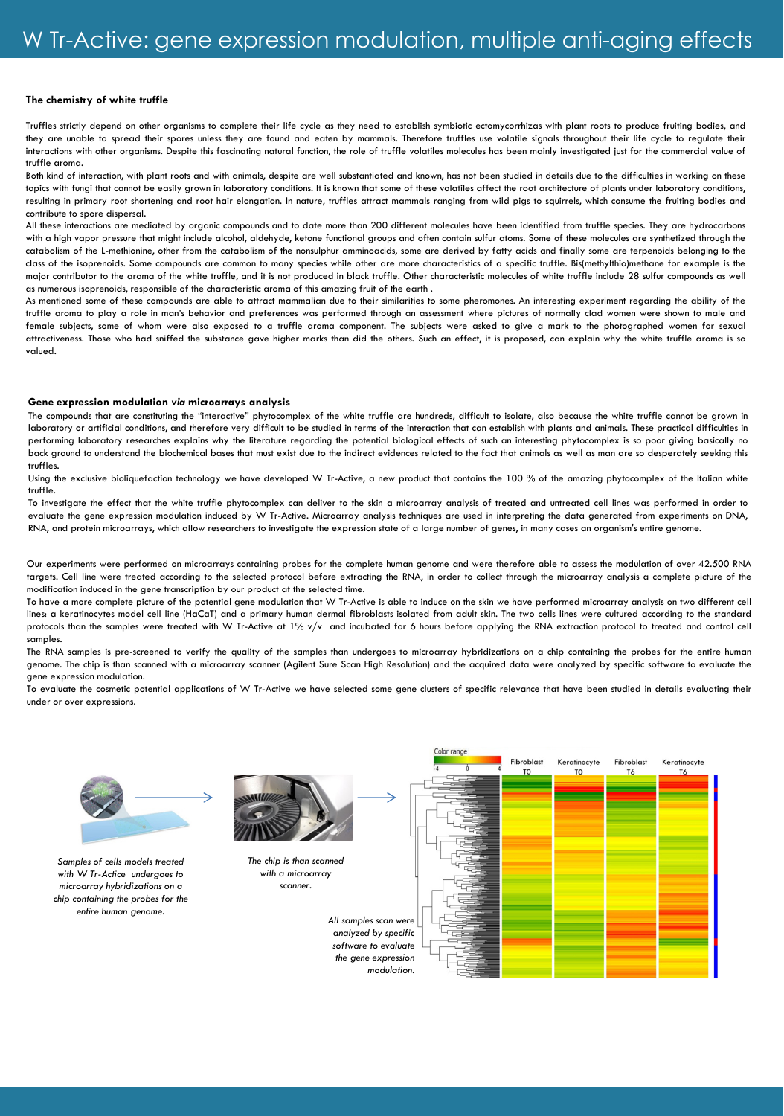# The chemistry of white truffle

Truffles strictly depend on other organisms to complete their life cycle as they need to establish symbiotic ectomycorrhizas with plant roots to produce fruiting bodies, and they are unable to spread their spores unless they are found and eaten by mammals. Therefore truffles use volatile signals throughout their life cycle to regulate their interactions with other organisms. Despite this fascinating natural function, the role of truffle volatiles molecules has been mainly investigated just for the commercial value of truffle aroma.

Both kind of interaction, with plant roots and with animals, despite are well substantiated and known, has not been studied in details due to the difficulties in working on these topics with fungi that cannot be easily grown in laboratory conditions. It is known that some of these volatiles affect the root architecture of plants under laboratory conditions, resulting in primary root shortening and root hair elongation. In nature, truffles attract mammals ranging from wild pigs to squirrels, which consume the fruiting bodies and contribute to spore dispersal.

All these interactions are mediated by organic compounds and to date more than 200 different molecules have been identified from truffle species. They are hydrocarbons with a high vapor pressure that might include alcohol, aldehyde, ketone functional groups and often contain sulfur atoms. Some of these molecules are synthetized through the catabolism of the L-methionine, other from the catabolism of the nonsulphur amminoacids, some are derived by fatty acids and finally some are terpenoids belonging to the class of the isoprenoids. Some compounds are common to many species while other are more characteristics of a specific truffle. Bis(methylthio)methane for example is the major contributor to the aroma of the white truffle, and it is not produced in black truffle. Other characteristic molecules of white truffle include 28 sulfur compounds as well as numerous isoprenoids, responsible of the characteristic aroma of this amazing fruit of the earth .

As mentioned some of these compounds are able to attract mammalian due to their similarities to some pheromones. An interesting experiment regarding the ability of the truffle aroma to play a role in man's behavior and preferences was performed through an assessment where pictures of normally clad women were shown to male and female subjects, some of whom were also exposed to a truffle aroma component. The subjects were asked to give a mark to the photographed women for sexual attractiveness. Those who had sniffed the substance gave higher marks than did the others. Such an effect, it is proposed, can explain why the white truffle aroma is so valued.

#### Gene expression modulation via microarrays analysis

The compounds that are constituting the "interactive" phytocomplex of the white truffle are hundreds, difficult to isolate, also because the white truffle cannot be grown in laboratory or artificial conditions, and therefore very difficult to be studied in terms of the interaction that can establish with plants and animals. These practical difficulties in performing laboratory researches explains why the literature regarding the potential biological effects of such an interesting phytocomplex is so poor giving basically no back ground to understand the biochemical bases that must exist due to the indirect evidences related to the fact that animals as well as man are so desperately seeking this truffles.

Using the exclusive bioliquefaction technology we have developed W Tr-Active, a new product that contains the 100 % of the amazing phytocomplex of the Italian white truffle.

To investigate the effect that the white truffle phytocomplex can deliver to the skin a microarray analysis of treated and untreated cell lines was performed in order to evaluate the gene expression modulation induced by W Tr-Active. Microarray analysis techniques are used in interpreting the data generated from experiments on DNA, RNA, and protein microarrays, which allow researchers to investigate the expression state of a large number of genes, in many cases an organism's entire genome.

Our experiments were performed on microarrays containing probes for the complete human genome and were therefore able to assess the modulation of over 42.500 RNA targets. Cell line were treated according to the selected protocol before extracting the RNA, in order to collect through the microarray analysis a complete picture of the modification induced in the gene transcription by our product at the selected time.

To have a more complete picture of the potential gene modulation that W Tr-Active is able to induce on the skin we have performed microarray analysis on two different cell lines: a keratinocytes model cell line (HaCaT) and a primary human dermal fibroblasts isolated from adult skin. The two cells lines were cultured according to the standard protocols than the samples were treated with W Tr-Active at 1% v/v and incubated for 6 hours before applying the RNA extraction protocol to treated and control cell samples.

The RNA samples is pre-screened to verify the quality of the samples than undergoes to microarray hybridizations on a chip containing the probes for the entire human genome. The chip is than scanned with a microarray scanner (Agilent Sure Scan High Resolution) and the acquired data were analyzed by specific software to evaluate the gene expression modulation.

To evaluate the cosmetic potential applications of W Tr-Active we have selected some gene clusters of specific relevance that have been studied in details evaluating their under or over expressions.

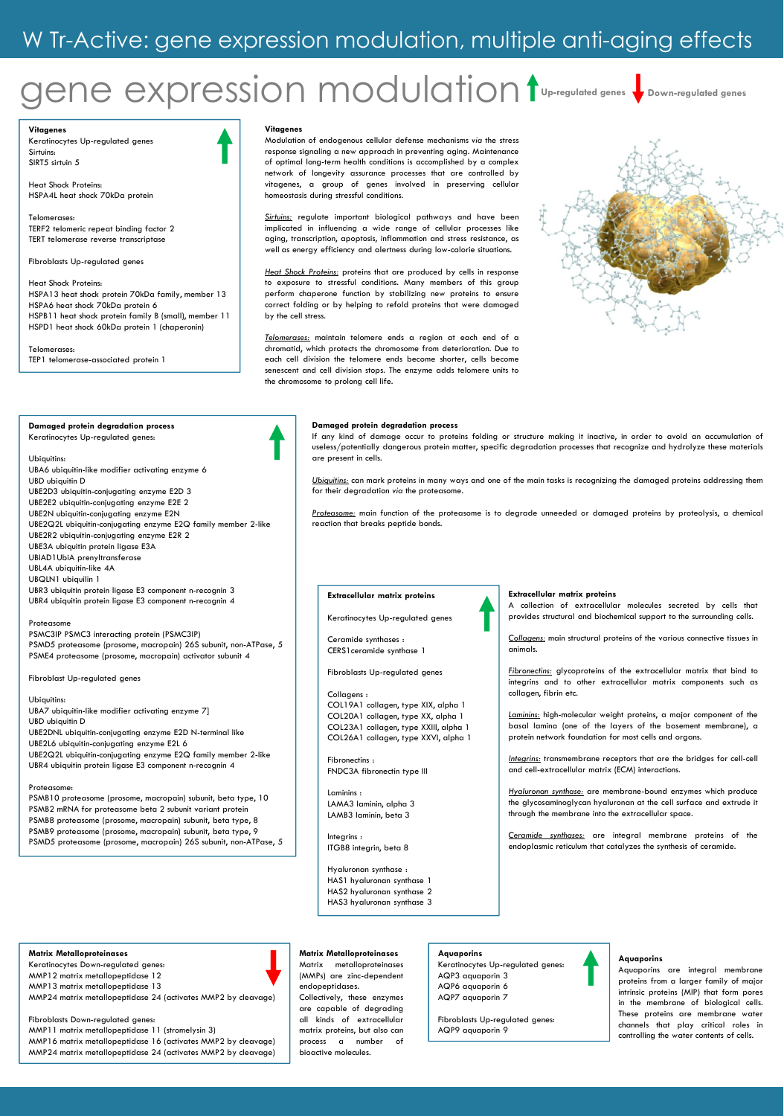# gene expression modulation

Up-regulated genes Down-regulated genes

Vitagenes Keratinocytes Up-regulated genes Sirtuins: SIRT5 sirtuin 5

Heat Shock Proteins: HSPA4L heat shock 70kDa protein

Telomerases: TERF2 telomeric repeat binding factor 2 TERT telomerase reverse transcriptase

Fibroblasts Up-regulated genes

Heat Shock Proteins: HSPA13 heat shock protein 70kDa family, member 13 HSPA6 heat shock 70kDa protein 6 HSPB11 heat shock protein family B (small), member 11 HSPD1 heat shock 60kDa protein 1 (chaperonin)

Telomerases: TEP1 telomerase-associated protein 1

#### Damaged protein degradation process Keratinocytes Up-regulated genes:

Ubiquitins: UBA6 ubiquitin-like modifier activating enzyme 6 UBD ubiquitin D UBE2D3 ubiquitin-conjugating enzyme E2D 3 UBE2E2 ubiquitin-conjugating enzyme E2E 2 UBE2N ubiquitin-conjugating enzyme E2N UBE2Q2L ubiquitin-conjugating enzyme E2Q family member 2-like UBE2R2 ubiquitin-conjugating enzyme E2R 2 UBE3A ubiquitin protein ligase E3A UBIAD1UbiA prenyltransferase UBL4A ubiquitin-like 4A

UBQLN1 ubiquilin 1 UBR3 ubiquitin protein ligase E3 component n-recognin 3 UBR4 ubiquitin protein ligase E3 component n-recognin 4

Proteasome PSMC3IP PSMC3 interacting protein (PSMC3IP) PSMD5 proteasome (prosome, macropain) 26S subunit, non-ATPase, 5 PSME4 proteasome (prosome, macropain) activator subunit 4

Fibroblast Up-regulated genes

#### Ubiquitins:

UBA7 ubiquitin-like modifier activating enzyme 7] UBD ubiquitin D UBE2DNL ubiquitin-conjugating enzyme E2D N-terminal like UBE2L6 ubiquitin-conjugating enzyme E2L 6 UBE2Q2L ubiquitin-conjugating enzyme E2Q family member 2-like UBR4 ubiquitin protein ligase E3 component n-recognin 4

#### Proteasome:

PSMB10 proteasome (prosome, macropain) subunit, beta type, 10 PSMB2 mRNA for proteasome beta 2 subunit variant protein PSMB8 proteasome (prosome, macropain) subunit, beta type, 8 PSMB9 proteasome (prosome, macropain) subunit, beta type, 9 PSMD5 proteasome (prosome, macropain) 26S subunit, non-ATPase, 5

#### Matrix Metalloproteinases

Keratinocytes Down-regulated genes:

MMP12 matrix metallopeptidase 12

MMP13 matrix metallopeptidase 13



MMP24 matrix metallopeptidase 24 (activates MMP2 by cleavage)

Fibroblasts Down-regulated genes: MMP11 matrix metallopeptidase 11 (stromelysin 3)

MMP16 matrix metallopeptidase 16 (activates MMP2 by cleavage) MMP24 matrix metallopeptidase 24 (activates MMP2 by cleavage)

#### Vitagenes

Modulation of endogenous cellular defense mechanisms via the stress response signaling a new approach in preventing aging. Maintenance of optimal long-term health conditions is accomplished by a complex network of longevity assurance processes that are controlled by vitagenes, a group of genes involved in preserving cellular homeostasis during stressful conditions.

Sirtuins: regulate important biological pathways and have been implicated in influencing a wide range of cellular processes like aging, transcription, apoptosis, inflammation and stress resistance, as well as energy efficiency and alertness during low-calorie situations.

Heat Shock Proteins: proteins that are produced by cells in response to exposure to stressful conditions. Many members of this group perform chaperone function by stabilizing new proteins to ensure correct folding or by helping to refold proteins that were damaged by the cell stress.

Telomerases: maintain telomere ends a region at each end of a chromatid, which protects the chromosome from deterioration. Due to each cell division the telomere ends become shorter, cells become senescent and cell division stops. The enzyme adds telomere units to the chromosome to prolong cell life.



#### Damaged protein degradation process

If any kind of damage occur to proteins folding or structure making it inactive, in order to avoid an accumulation of useless/potentially dangerous protein matter, specific degradation processes that recognize and hydrolyze these materials are present in cells.

Ubiquitins: can mark proteins in many ways and one of the main tasks is recognizing the damaged proteins addressing them for their degradation via the proteasome.

Proteasome: main function of the proteasome is to degrade unneeded or damaged proteins by proteolysis, a chemical reaction that breaks peptide bonds.

#### Extracellular matrix proteins

Keratinocytes Up-regulated genes

Ceramide synthases : CERS1ceramide synthase 1

#### Fibroblasts Up-regulated genes

Collagens :

COL19A1 collagen, type XIX, alpha 1 COL20A1 collagen, type XX, alpha 1 COL23A1 collagen, type XXIII, alpha 1 COL26A1 collagen, type XXVI, alpha 1

Fibronectins : FNDC3A fibronectin type III

Laminins : LAMA3 laminin, alpha 3 LAMB3 laminin, beta 3

Integrins : ITGB8 integrin, beta 8

Hyaluronan synthase : HAS1 hyaluronan synthase 1 HAS2 hyaluronan synthase 2 HAS3 hyaluronan synthase 3



A collection of extracellular molecules secreted by cells that provides structural and biochemical support to the surrounding cells.

Collagens: main structural proteins of the various connective tissues in animals.

Fibronectins: glycoproteins of the extracellular matrix that bind to integrins and to other extracellular matrix components such as collagen, fibrin etc.

Laminins: high-molecular weight proteins, a major component of the basal lamina (one of the layers of the basement membrane), a protein network foundation for most cells and organs.

Integrins: transmembrane receptors that are the bridges for cell-cell and cell-extracellular matrix (ECM) interactions.

Hyaluronan synthase: are membrane-bound enzymes which produce the glycosaminoglycan hyaluronan at the cell surface and extrude it through the membrane into the extracellular space.

Ceramide synthases: are integral membrane proteins of the endoplasmic reticulum that catalyzes the synthesis of ceramide.

#### Matrix Metalloproteinases Matrix metalloproteinases (MMPs) are zinc-dependent

endopeptidases. Collectively, these enzymes are capable of degrading all kinds of extracellular matrix proteins, but also can process a number bioactive molecules.

# Aquaporins

Keratinocytes Up-regulated genes: AQP3 aquaporin 3 AQP6 aquaporin 6 AQP7 aquaporin 7

Fibroblasts Up-regulated genes: AQP9 aquaporin 9

# Aquaporins

Aquaporins are integral membrane proteins from a larger family of major intrinsic proteins (MIP) that form pores in the membrane of biological cells. These proteins are membrane water channels that play critical roles in controlling the water contents of cells.